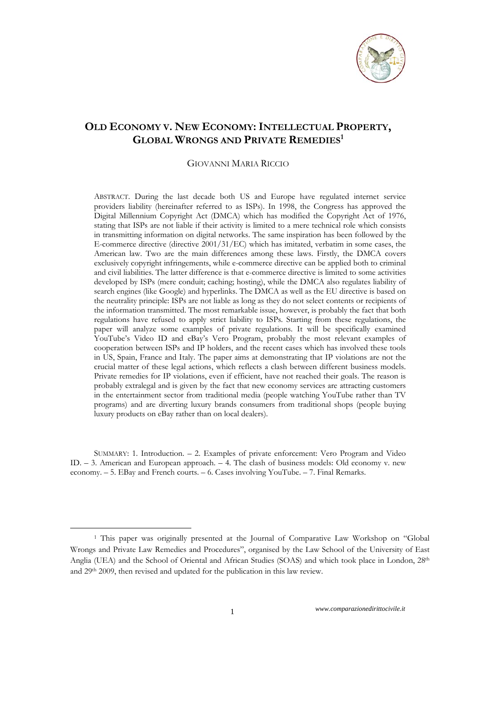

## **OLD ECONOMY V. NEW ECONOMY: INTELLECTUAL PROPERTY, GLOBAL WRONGS AND PRIVATE REMEDIES1**

## GIOVANNI MARIA RICCIO

ABSTRACT. During the last decade both US and Europe have regulated internet service providers liability (hereinafter referred to as ISPs). In 1998, the Congress has approved the Digital Millennium Copyright Act (DMCA) which has modified the Copyright Act of 1976, stating that ISPs are not liable if their activity is limited to a mere technical role which consists in transmitting information on digital networks. The same inspiration has been followed by the E-commerce directive (directive 2001/31/EC) which has imitated, verbatim in some cases, the American law. Two are the main differences among these laws. Firstly, the DMCA covers exclusively copyright infringements, while e-commerce directive can be applied both to criminal and civil liabilities. The latter difference is that e-commerce directive is limited to some activities developed by ISPs (mere conduit; caching; hosting), while the DMCA also regulates liability of search engines (like Google) and hyperlinks. The DMCA as well as the EU directive is based on the neutrality principle: ISPs are not liable as long as they do not select contents or recipients of the information transmitted. The most remarkable issue, however, is probably the fact that both regulations have refused to apply strict liability to ISPs. Starting from these regulations, the paper will analyze some examples of private regulations. It will be specifically examined YouTube's Video ID and eBay's Vero Program, probably the most relevant examples of cooperation between ISPs and IP holders, and the recent cases which has involved these tools in US, Spain, France and Italy. The paper aims at demonstrating that IP violations are not the crucial matter of these legal actions, which reflects a clash between different business models. Private remedies for IP violations, even if efficient, have not reached their goals. The reason is probably extralegal and is given by the fact that new economy services are attracting customers in the entertainment sector from traditional media (people watching YouTube rather than TV programs) and are diverting luxury brands consumers from traditional shops (people buying luxury products on eBay rather than on local dealers).

SUMMARY: 1. Introduction. – 2. Examples of private enforcement: Vero Program and Video ID. – 3. American and European approach. – 4. The clash of business models: Old economy v. new economy. – 5. EBay and French courts. – 6. Cases involving YouTube. – 7. Final Remarks.

1 *www.comparazionedirittocivile.it* 

<sup>1</sup> This paper was originally presented at the Journal of Comparative Law Workshop on "Global Wrongs and Private Law Remedies and Procedures", organised by the Law School of the University of East Anglia (UEA) and the School of Oriental and African Studies (SOAS) and which took place in London, 28<sup>th</sup> and 29th 2009, then revised and updated for the publication in this law review.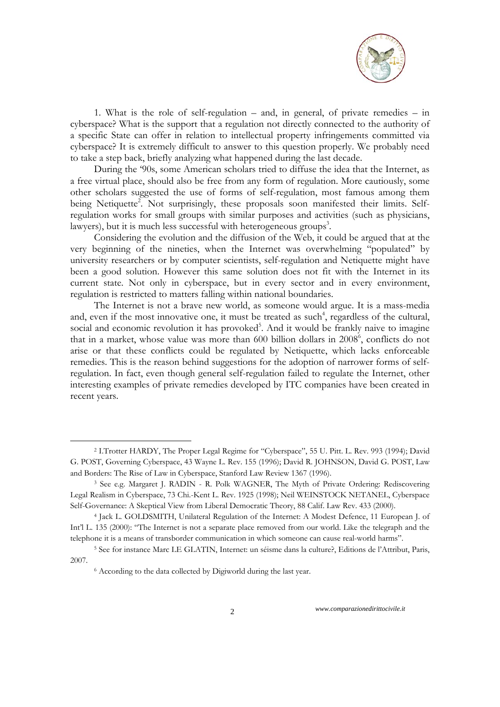

1. What is the role of self-regulation – and, in general, of private remedies – in cyberspace? What is the support that a regulation not directly connected to the authority of a specific State can offer in relation to intellectual property infringements committed via cyberspace? It is extremely difficult to answer to this question properly. We probably need to take a step back, briefly analyzing what happened during the last decade.

During the '90s, some American scholars tried to diffuse the idea that the Internet, as a free virtual place, should also be free from any form of regulation. More cautiously, some other scholars suggested the use of forms of self-regulation, most famous among them being Netiquette<sup>2</sup>. Not surprisingly, these proposals soon manifested their limits. Selfregulation works for small groups with similar purposes and activities (such as physicians, lawyers), but it is much less successful with heterogeneous groups<sup>3</sup>.

Considering the evolution and the diffusion of the Web, it could be argued that at the very beginning of the nineties, when the Internet was overwhelming "populated" by university researchers or by computer scientists, self-regulation and Netiquette might have been a good solution. However this same solution does not fit with the Internet in its current state. Not only in cyberspace, but in every sector and in every environment, regulation is restricted to matters falling within national boundaries.

The Internet is not a brave new world, as someone would argue. It is a mass-media and, even if the most innovative one, it must be treated as such<sup>4</sup>, regardless of the cultural, social and economic revolution it has provoked<sup>5</sup>. And it would be frankly naive to imagine that in a market, whose value was more than 600 billion dollars in 2008<sup>6</sup>, conflicts do not arise or that these conflicts could be regulated by Netiquette, which lacks enforceable remedies. This is the reason behind suggestions for the adoption of narrower forms of selfregulation. In fact, even though general self-regulation failed to regulate the Internet, other interesting examples of private remedies developed by ITC companies have been created in recent years.

-

<sup>2</sup> I.Trotter HARDY, The Proper Legal Regime for "Cyberspace", 55 U. Pitt. L. Rev. 993 (1994); David G. POST, Governing Cyberspace, 43 Wayne L. Rev. 155 (1996); David R. JOHNSON, David G. POST, Law and Borders: The Rise of Law in Cyberspace, Stanford Law Review 1367 (1996).

<sup>&</sup>lt;sup>3</sup> See e.g. Margaret J. RADIN - R. Polk WAGNER, The Myth of Private Ordering: Rediscovering Legal Realism in Cyberspace, 73 Chi.-Kent L. Rev. 1925 (1998); Neil WEINSTOCK NETANEL, Cyberspace Self-Governance: A Skeptical View from Liberal Democratic Theory, 88 Calif. Law Rev. 433 (2000).

<sup>4</sup> Jack L. GOLDSMITH, Unilateral Regulation of the Internet: A Modest Defence, 11 European J. of Int'l L. 135 (2000): "The Internet is not a separate place removed from our world. Like the telegraph and the telephone it is a means of transborder communication in which someone can cause real-world harms".

<sup>5</sup> See for instance Marc LE GLATIN, Internet: un séisme dans la culture?, Editions de l'Attribut, Paris, 2007.

<sup>6</sup> According to the data collected by Digiworld during the last year.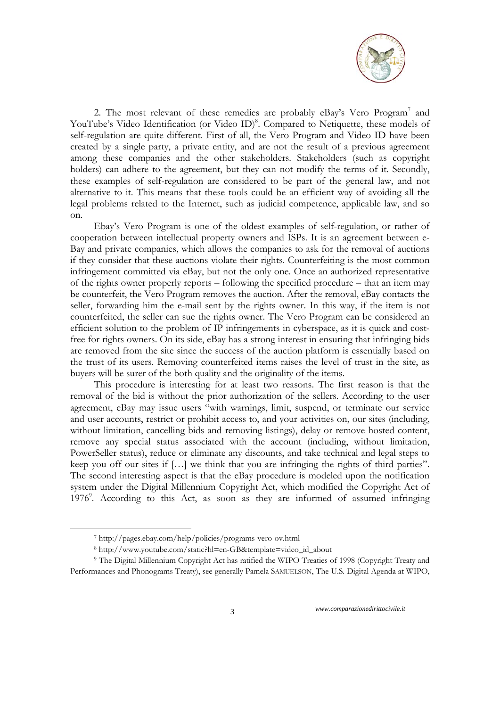

2. The most relevant of these remedies are probably eBay's Vero Program<sup>7</sup> and YouTube's Video Identification (or Video ID)<sup>8</sup>. Compared to Netiquette, these models of self-regulation are quite different. First of all, the Vero Program and Video ID have been created by a single party, a private entity, and are not the result of a previous agreement among these companies and the other stakeholders. Stakeholders (such as copyright holders) can adhere to the agreement, but they can not modify the terms of it. Secondly, these examples of self-regulation are considered to be part of the general law, and not alternative to it. This means that these tools could be an efficient way of avoiding all the legal problems related to the Internet, such as judicial competence, applicable law, and so on.

Ebay's Vero Program is one of the oldest examples of self-regulation, or rather of cooperation between intellectual property owners and ISPs. It is an agreement between e-Bay and private companies, which allows the companies to ask for the removal of auctions if they consider that these auctions violate their rights. Counterfeiting is the most common infringement committed via eBay, but not the only one. Once an authorized representative of the rights owner properly reports – following the specified procedure – that an item may be counterfeit, the Vero Program removes the auction. After the removal, eBay contacts the seller, forwarding him the e-mail sent by the rights owner. In this way, if the item is not counterfeited, the seller can sue the rights owner. The Vero Program can be considered an efficient solution to the problem of IP infringements in cyberspace, as it is quick and costfree for rights owners. On its side, eBay has a strong interest in ensuring that infringing bids are removed from the site since the success of the auction platform is essentially based on the trust of its users. Removing counterfeited items raises the level of trust in the site, as buyers will be surer of the both quality and the originality of the items.

This procedure is interesting for at least two reasons. The first reason is that the removal of the bid is without the prior authorization of the sellers. According to the user agreement, eBay may issue users "with warnings, limit, suspend, or terminate our service and user accounts, restrict or prohibit access to, and your activities on, our sites (including, without limitation, cancelling bids and removing listings), delay or remove hosted content, remove any special status associated with the account (including, without limitation, PowerSeller status), reduce or eliminate any discounts, and take technical and legal steps to keep you off our sites if […] we think that you are infringing the rights of third parties". The second interesting aspect is that the eBay procedure is modeled upon the notification system under the Digital Millennium Copyright Act, which modified the Copyright Act of 1976<sup>9</sup>. According to this Act, as soon as they are informed of assumed infringing

<sup>7</sup> http://pages.ebay.com/help/policies/programs-vero-ov.html

<sup>8</sup> http://www.youtube.com/static?hl=en-GB&template=video\_id\_about

<sup>9</sup> The Digital Millennium Copyright Act has ratified the WIPO Treaties of 1998 (Copyright Treaty and Performances and Phonograms Treaty), see generally Pamela SAMUELSON, The U.S. Digital Agenda at WIPO,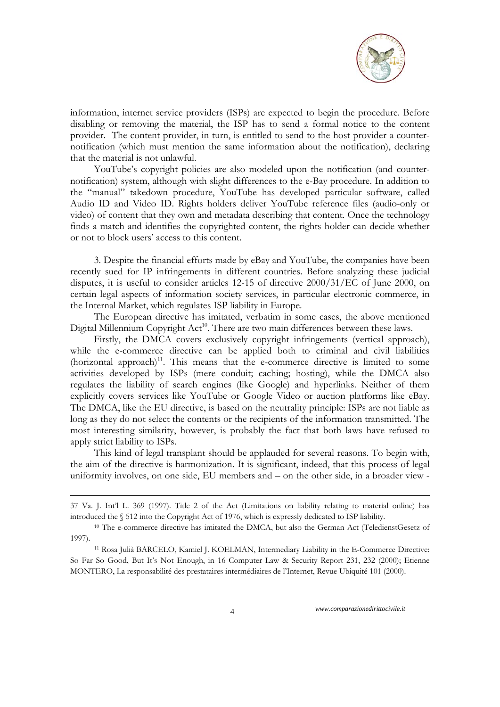

information, internet service providers (ISPs) are expected to begin the procedure. Before disabling or removing the material, the ISP has to send a formal notice to the content provider. The content provider, in turn, is entitled to send to the host provider a counternotification (which must mention the same information about the notification), declaring that the material is not unlawful.

YouTube's copyright policies are also modeled upon the notification (and counternotification) system, although with slight differences to the e-Bay procedure. In addition to the "manual" takedown procedure, YouTube has developed particular software, called Audio ID and Video ID. Rights holders deliver YouTube reference files (audio-only or video) of content that they own and metadata describing that content. Once the technology finds a match and identifies the copyrighted content, the rights holder can decide whether or not to block users' access to this content.

3. Despite the financial efforts made by eBay and YouTube, the companies have been recently sued for IP infringements in different countries. Before analyzing these judicial disputes, it is useful to consider articles 12-15 of directive 2000/31/EC of June 2000, on certain legal aspects of information society services, in particular electronic commerce, in the Internal Market, which regulates ISP liability in Europe.

The European directive has imitated, verbatim in some cases, the above mentioned Digital Millennium Copyright Act<sup>10</sup>. There are two main differences between these laws.

Firstly, the DMCA covers exclusively copyright infringements (vertical approach), while the e-commerce directive can be applied both to criminal and civil liabilities  $(horizontal)$ <sup>11</sup>. This means that the e-commerce directive is limited to some activities developed by ISPs (mere conduit; caching; hosting), while the DMCA also regulates the liability of search engines (like Google) and hyperlinks. Neither of them explicitly covers services like YouTube or Google Video or auction platforms like eBay. The DMCA, like the EU directive, is based on the neutrality principle: ISPs are not liable as long as they do not select the contents or the recipients of the information transmitted. The most interesting similarity, however, is probably the fact that both laws have refused to apply strict liability to ISPs.

This kind of legal transplant should be applauded for several reasons. To begin with, the aim of the directive is harmonization. It is significant, indeed, that this process of legal uniformity involves, on one side, EU members and – on the other side, in a broader view -

1

<sup>37</sup> Va. J. Int'l L. 369 (1997). Title 2 of the Act (Limitations on liability relating to material online) has introduced the § 512 into the Copyright Act of 1976, which is expressly dedicated to ISP liability.

<sup>&</sup>lt;sup>10</sup> The e-commerce directive has imitated the DMCA, but also the German Act (TeledienstGesetz of 1997).

<sup>11</sup> Rosa Julià BARCELO, Kamiel J. KOELMAN, Intermediary Liability in the E-Commerce Directive: So Far So Good, But It's Not Enough, in 16 Computer Law & Security Report 231, 232 (2000); Etienne MONTERO, La responsabilité des prestataires intermédiaires de l'Internet, Revue Ubiquité 101 (2000).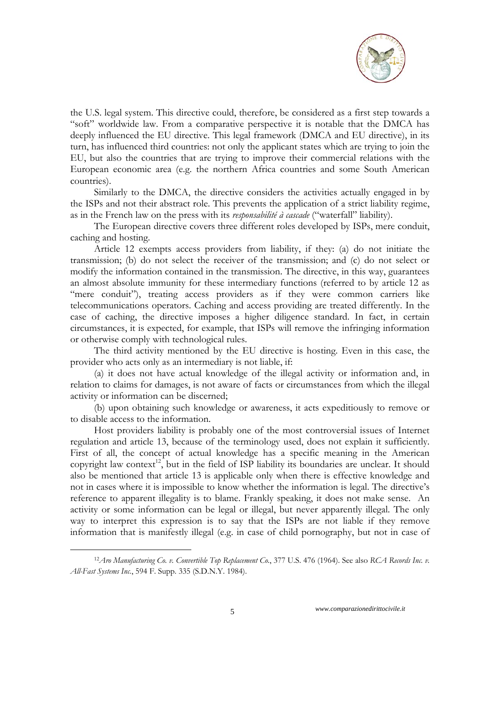

the U.S. legal system. This directive could, therefore, be considered as a first step towards a "soft" worldwide law. From a comparative perspective it is notable that the DMCA has deeply influenced the EU directive. This legal framework (DMCA and EU directive), in its turn, has influenced third countries: not only the applicant states which are trying to join the EU, but also the countries that are trying to improve their commercial relations with the European economic area (e.g. the northern Africa countries and some South American countries).

Similarly to the DMCA, the directive considers the activities actually engaged in by the ISPs and not their abstract role. This prevents the application of a strict liability regime, as in the French law on the press with its *responsabilité à cascade* ("waterfall" liability).

The European directive covers three different roles developed by ISPs, mere conduit, caching and hosting.

Article 12 exempts access providers from liability, if they: (a) do not initiate the transmission; (b) do not select the receiver of the transmission; and (c) do not select or modify the information contained in the transmission. The directive, in this way, guarantees an almost absolute immunity for these intermediary functions (referred to by article 12 as "mere conduit"), treating access providers as if they were common carriers like telecommunications operators. Caching and access providing are treated differently. In the case of caching, the directive imposes a higher diligence standard. In fact, in certain circumstances, it is expected, for example, that ISPs will remove the infringing information or otherwise comply with technological rules.

The third activity mentioned by the EU directive is hosting. Even in this case, the provider who acts only as an intermediary is not liable, if:

(a) it does not have actual knowledge of the illegal activity or information and, in relation to claims for damages, is not aware of facts or circumstances from which the illegal activity or information can be discerned;

(b) upon obtaining such knowledge or awareness, it acts expeditiously to remove or to disable access to the information.

Host providers liability is probably one of the most controversial issues of Internet regulation and article 13, because of the terminology used, does not explain it sufficiently. First of all, the concept of actual knowledge has a specific meaning in the American copyright law context<sup>12</sup>, but in the field of ISP liability its boundaries are unclear. It should also be mentioned that article 13 is applicable only when there is effective knowledge and not in cases where it is impossible to know whether the information is legal. The directive's reference to apparent illegality is to blame. Frankly speaking, it does not make sense. An activity or some information can be legal or illegal, but never apparently illegal. The only way to interpret this expression is to say that the ISPs are not liable if they remove information that is manifestly illegal (e.g. in case of child pornography, but not in case of

5 *www.comparazionedirittocivile.it* 

<sup>12</sup>*Aro Manufacturing Co. v. Convertible Top Replacement Co.*, 377 U.S. 476 (1964). See also *RCA Records Inc. v. All-Fast Systems Inc.*, 594 F. Supp. 335 (S.D.N.Y. 1984).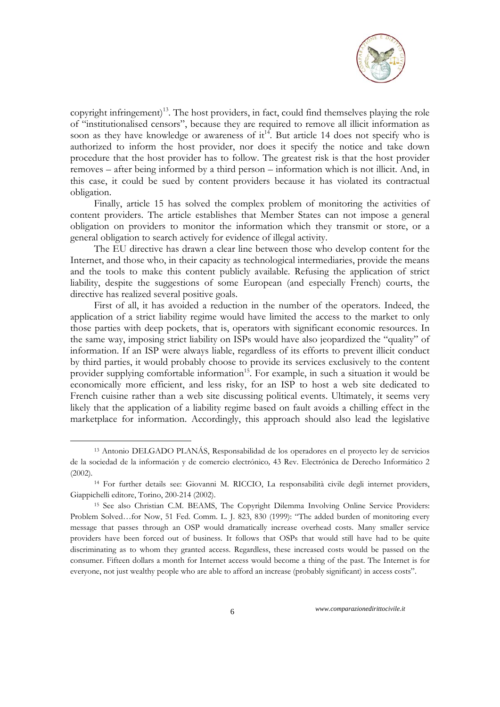

copyright infringement)<sup>13</sup>. The host providers, in fact, could find themselves playing the role of "institutionalised censors", because they are required to remove all illicit information as soon as they have knowledge or awareness of  $it^{14}$ . But article 14 does not specify who is authorized to inform the host provider, nor does it specify the notice and take down procedure that the host provider has to follow. The greatest risk is that the host provider removes – after being informed by a third person – information which is not illicit. And, in this case, it could be sued by content providers because it has violated its contractual obligation.

Finally, article 15 has solved the complex problem of monitoring the activities of content providers. The article establishes that Member States can not impose a general obligation on providers to monitor the information which they transmit or store, or a general obligation to search actively for evidence of illegal activity.

The EU directive has drawn a clear line between those who develop content for the Internet, and those who, in their capacity as technological intermediaries, provide the means and the tools to make this content publicly available. Refusing the application of strict liability, despite the suggestions of some European (and especially French) courts, the directive has realized several positive goals.

First of all, it has avoided a reduction in the number of the operators. Indeed, the application of a strict liability regime would have limited the access to the market to only those parties with deep pockets, that is, operators with significant economic resources. In the same way, imposing strict liability on ISPs would have also jeopardized the "quality" of information. If an ISP were always liable, regardless of its efforts to prevent illicit conduct by third parties, it would probably choose to provide its services exclusively to the content provider supplying comfortable information<sup>15</sup>. For example, in such a situation it would be economically more efficient, and less risky, for an ISP to host a web site dedicated to French cuisine rather than a web site discussing political events. Ultimately, it seems very likely that the application of a liability regime based on fault avoids a chilling effect in the marketplace for information. Accordingly, this approach should also lead the legislative

-

<sup>13</sup> Antonio DELGADO PLANÁS, Responsabilidad de los operadores en el proyecto ley de servicios de la sociedad de la información y de comercio electrónico*,* 43 Rev. Electrónica de Derecho Informático 2 (2002)*.*

<sup>14</sup> For further details see: Giovanni M. RICCIO, La responsabilità civile degli internet providers, Giappichelli editore, Torino, 200-214 (2002).

<sup>15</sup> See also Christian C.M. BEAMS, The Copyright Dilemma Involving Online Service Providers: Problem Solved…for Now, 51 Fed. Comm. L. J. 823, 830 (1999): "The added burden of monitoring every message that passes through an OSP would dramatically increase overhead costs. Many smaller service providers have been forced out of business. It follows that OSPs that would still have had to be quite discriminating as to whom they granted access. Regardless, these increased costs would be passed on the consumer. Fifteen dollars a month for Internet access would become a thing of the past. The Internet is for everyone, not just wealthy people who are able to afford an increase (probably significant) in access costs".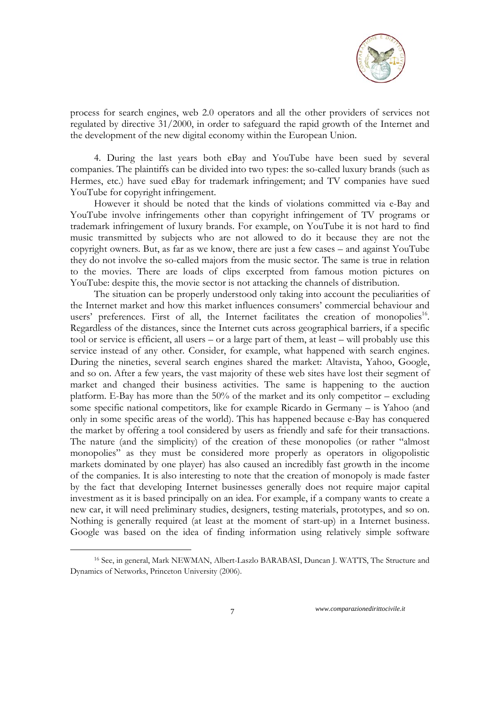

process for search engines, web 2.0 operators and all the other providers of services not regulated by directive 31/2000, in order to safeguard the rapid growth of the Internet and the development of the new digital economy within the European Union.

4. During the last years both eBay and YouTube have been sued by several companies. The plaintiffs can be divided into two types: the so-called luxury brands (such as Hermes, etc.) have sued eBay for trademark infringement; and TV companies have sued YouTube for copyright infringement.

However it should be noted that the kinds of violations committed via e-Bay and YouTube involve infringements other than copyright infringement of TV programs or trademark infringement of luxury brands. For example, on YouTube it is not hard to find music transmitted by subjects who are not allowed to do it because they are not the copyright owners. But, as far as we know, there are just a few cases – and against YouTube they do not involve the so-called majors from the music sector. The same is true in relation to the movies. There are loads of clips excerpted from famous motion pictures on YouTube: despite this, the movie sector is not attacking the channels of distribution.

The situation can be properly understood only taking into account the peculiarities of the Internet market and how this market influences consumers' commercial behaviour and users' preferences. First of all, the Internet facilitates the creation of monopolies<sup>16</sup>. Regardless of the distances, since the Internet cuts across geographical barriers, if a specific tool or service is efficient, all users – or a large part of them, at least – will probably use this service instead of any other. Consider, for example, what happened with search engines. During the nineties, several search engines shared the market: Altavista, Yahoo, Google, and so on. After a few years, the vast majority of these web sites have lost their segment of market and changed their business activities. The same is happening to the auction platform. E-Bay has more than the 50% of the market and its only competitor – excluding some specific national competitors, like for example Ricardo in Germany – is Yahoo (and only in some specific areas of the world). This has happened because e-Bay has conquered the market by offering a tool considered by users as friendly and safe for their transactions. The nature (and the simplicity) of the creation of these monopolies (or rather "almost monopolies" as they must be considered more properly as operators in oligopolistic markets dominated by one player) has also caused an incredibly fast growth in the income of the companies. It is also interesting to note that the creation of monopoly is made faster by the fact that developing Internet businesses generally does not require major capital investment as it is based principally on an idea. For example, if a company wants to create a new car, it will need preliminary studies, designers, testing materials, prototypes, and so on. Nothing is generally required (at least at the moment of start-up) in a Internet business. Google was based on the idea of finding information using relatively simple software

<sup>16</sup> See, in general, Mark NEWMAN, Albert-Laszlo BARABASI, Duncan J. WATTS, The Structure and Dynamics of Networks, Princeton University (2006).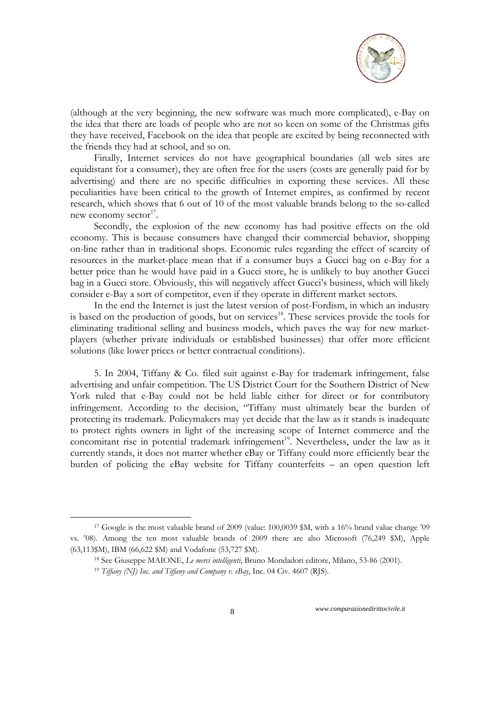

(although at the very beginning, the new software was much more complicated), e-Bay on the idea that there are loads of people who are not so keen on some of the Christmas gifts they have received, Facebook on the idea that people are excited by being reconnected with the friends they had at school, and so on.

Finally, Internet services do not have geographical boundaries (all web sites are equidistant for a consumer), they are often free for the users (costs are generally paid for by advertising) and there are no specific difficulties in exporting these services. All these peculiarities have been critical to the growth of Internet empires, as confirmed by recent research, which shows that 6 out of 10 of the most valuable brands belong to the so-called new economy sector $17$ .

Secondly, the explosion of the new economy has had positive effects on the old economy. This is because consumers have changed their commercial behavior, shopping on-line rather than in traditional shops. Economic rules regarding the effect of scarcity of resources in the market-place mean that if a consumer buys a Gucci bag on e-Bay for a better price than he would have paid in a Gucci store, he is unlikely to buy another Gucci bag in a Gucci store. Obviously, this will negatively affect Gucci's business, which will likely consider e-Bay a sort of competitor, even if they operate in different market sectors.

In the end the Internet is just the latest version of post-Fordism, in which an industry is based on the production of goods, but on services<sup>18</sup>. These services provide the tools for eliminating traditional selling and business models, which paves the way for new marketplayers (whether private individuals or established businesses) that offer more efficient solutions (like lower prices or better contractual conditions).

5. In 2004, Tiffany & Co. filed suit against e-Bay for trademark infringement, false advertising and unfair competition. The US District Court for the Southern District of New York ruled that e-Bay could not be held liable either for direct or for contributory infringement. According to the decision, "Tiffany must ultimately bear the burden of protecting its trademark. Policymakers may yet decide that the law as it stands is inadequate to protect rights owners in light of the increasing scope of Internet commerce and the concomitant rise in potential trademark infringement<sup>19</sup>. Nevertheless, under the law as it currently stands, it does not matter whether eBay or Tiffany could more efficiently bear the burden of policing the eBay website for Tiffany counterfeits – an open question left

1

<sup>17</sup> Google is the most valuable brand of 2009 (value: 100,0039 \$M, with a 16% brand value change '09 vs. '08). Among the ten most valuable brands of 2009 there are also Microsoft (76,249 \$M), Apple (63,113\$M), IBM (66,622 \$M) and Vodafone (53,727 \$M).

<sup>18</sup> See Giuseppe MAIONE, *Le merci intelligenti*, Bruno Mondadori editore, Milano, 53-86 (2001).

<sup>19</sup> *Tiffany (NJ) Inc. and Tiffany and Company v. eBay*, Inc. 04 Civ. 4607 (RJS).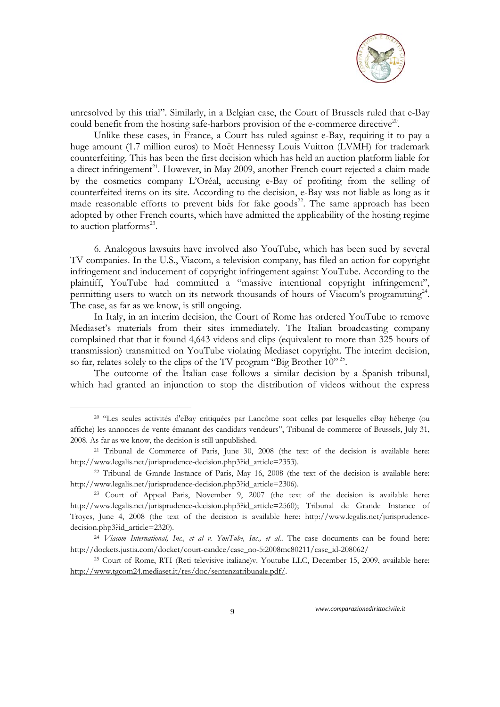

unresolved by this trial". Similarly, in a Belgian case, the Court of Brussels ruled that e-Bay could benefit from the hosting safe-harbors provision of the e-commerce directive<sup>20</sup>.

Unlike these cases, in France, a Court has ruled against e-Bay, requiring it to pay a huge amount (1.7 million euros) to Moët Hennessy Louis Vuitton (LVMH) for trademark counterfeiting. This has been the first decision which has held an auction platform liable for a direct infringement<sup>21</sup>. However, in May 2009, another French court rejected a claim made by the cosmetics company L'Oréal, accusing e-Bay of profiting from the selling of counterfeited items on its site. According to the decision, e-Bay was not liable as long as it made reasonable efforts to prevent bids for fake  $\gamma$  goods<sup>22</sup>. The same approach has been adopted by other French courts, which have admitted the applicability of the hosting regime to auction platforms<sup>23</sup>.

6. Analogous lawsuits have involved also YouTube, which has been sued by several TV companies. In the U.S., Viacom, a television company, has filed an action for copyright infringement and inducement of copyright infringement against YouTube. According to the plaintiff, YouTube had committed a "massive intentional copyright infringement", permitting users to watch on its network thousands of hours of Viacom's programming<sup>24</sup>. The case, as far as we know, is still ongoing.

In Italy, in an interim decision, the Court of Rome has ordered YouTube to remove Mediaset's materials from their sites immediately. The Italian broadcasting company complained that that it found 4,643 videos and clips (equivalent to more than 325 hours of transmission) transmitted on YouTube violating Mediaset copyright. The interim decision, so far, relates solely to the clips of the TV program "Big Brother  $10"^{25}$ .

The outcome of the Italian case follows a similar decision by a Spanish tribunal, which had granted an injunction to stop the distribution of videos without the express

<sup>20 &</sup>quot;Les seules activités d'eBay critiquées par Lancôme sont celles par lesquelles eBay héberge (ou affiche) les annonces de vente émanant des candidats vendeurs", Tribunal de commerce of Brussels, July 31, 2008. As far as we know, the decision is still unpublished.

<sup>21</sup> Tribunal de Commerce of Paris, June 30, 2008 (the text of the decision is available here: http://www.legalis.net/jurisprudence-decision.php3?id\_article=2353).

<sup>22</sup> Tribunal de Grande Instance of Paris, May 16, 2008 (the text of the decision is available here: http://www.legalis.net/jurisprudence-decision.php3?id\_article=2306).

<sup>23</sup> Court of Appeal Paris, November 9, 2007 (the text of the decision is available here: http://www.legalis.net/jurisprudence-decision.php3?id\_article=2560); Tribunal de Grande Instance of Troyes, June 4, 2008 (the text of the decision is available here: http://www.legalis.net/jurisprudencedecision.php3?id\_article=2320).

<sup>24</sup> *Viacom International, Inc., et al v. YouTube, Inc., et al.*. The case documents can be found here: http://dockets.justia.com/docket/court-candce/case\_no-5:2008mc80211/case\_id-208062/

<sup>25</sup> Court of Rome, RTI (Reti televisive italiane)v. Youtube LLC, December 15, 2009, available here: http://www.tgcom24.mediaset.it/res/doc/sentenzatribunale.pdf/.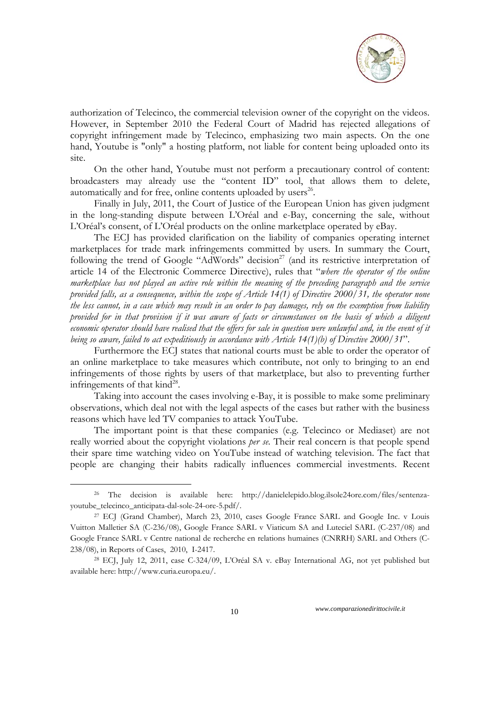

authorization of Telecinco, the commercial television owner of the copyright on the videos. However, in September 2010 the Federal Court of Madrid has rejected allegations of copyright infringement made by Telecinco, emphasizing two main aspects. On the one hand, Youtube is "only" a hosting platform, not liable for content being uploaded onto its site.

On the other hand, Youtube must not perform a precautionary control of content: broadcasters may already use the "content ID" tool, that allows them to delete, automatically and for free, online contents uploaded by users $26$ .

Finally in July, 2011, the Court of Justice of the European Union has given judgment in the long-standing dispute between L'Oréal and e-Bay, concerning the sale, without L'Oréal's consent, of L'Oréal products on the online marketplace operated by eBay.

The ECJ has provided clarification on the liability of companies operating internet marketplaces for trade mark infringements committed by users. In summary the Court, following the trend of Google "AdWords" decision<sup>27</sup> (and its restrictive interpretation of article 14 of the Electronic Commerce Directive), rules that "*where the operator of the online marketplace has not played an active role within the meaning of the preceding paragraph and the service provided falls, as a consequence, within the scope of Article 14(1) of Directive 2000/31, the operator none the less cannot, in a case which may result in an order to pay damages, rely on the exemption from liability provided for in that provision if it was aware of facts or circumstances on the basis of which a diligent economic operator should have realised that the offers for sale in question were unlawful and, in the event of it being so aware, failed to act expeditiously in accordance with Article 14(1)(b) of Directive 2000/31*".

Furthermore the ECJ states that national courts must be able to order the operator of an online marketplace to take measures which contribute, not only to bringing to an end infringements of those rights by users of that marketplace, but also to preventing further infringements of that  $\text{kind}^{28}$ .

Taking into account the cases involving e-Bay, it is possible to make some preliminary observations, which deal not with the legal aspects of the cases but rather with the business reasons which have led TV companies to attack YouTube.

The important point is that these companies (e.g. Telecinco or Mediaset) are not really worried about the copyright violations *per se*. Their real concern is that people spend their spare time watching video on YouTube instead of watching television. The fact that people are changing their habits radically influences commercial investments. Recent

1

<sup>26</sup> The decision is available here: http://danielelepido.blog.ilsole24ore.com/files/sentenzayoutube\_telecinco\_anticipata-dal-sole-24-ore-5.pdf/.

<sup>27</sup> ECJ (Grand Chamber), March 23, 2010, cases Google France SARL and Google Inc. v Louis Vuitton Malletier SA (C-236/08), Google France SARL v Viaticum SA and Luteciel SARL (C-237/08) and Google France SARL v Centre national de recherche en relations humaines (CNRRH) SARL and Others (C-238/08), in Reports of Cases, 2010, I-2417.

<sup>28</sup> ECJ, July 12, 2011, case C-324/09, L'Oréal SA v. eBay International AG, not yet published but available here: http://www.curia.europa.eu/.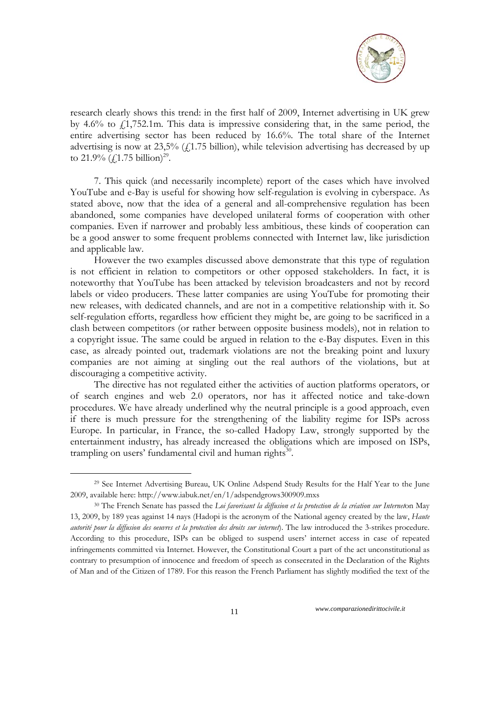

research clearly shows this trend: in the first half of 2009, Internet advertising in UK grew by  $4.6\%$  to  $4.1,752.1$ m. This data is impressive considering that, in the same period, the entire advertising sector has been reduced by 16.6%. The total share of the Internet advertising is now at  $23,5\%$  ( $\ell$ 1.75 billion), while television advertising has decreased by up to 21.9%  $(f1.75 \text{ billion})^{29}$ .

7. This quick (and necessarily incomplete) report of the cases which have involved YouTube and e-Bay is useful for showing how self-regulation is evolving in cyberspace. As stated above, now that the idea of a general and all-comprehensive regulation has been abandoned, some companies have developed unilateral forms of cooperation with other companies. Even if narrower and probably less ambitious, these kinds of cooperation can be a good answer to some frequent problems connected with Internet law, like jurisdiction and applicable law.

However the two examples discussed above demonstrate that this type of regulation is not efficient in relation to competitors or other opposed stakeholders. In fact, it is noteworthy that YouTube has been attacked by television broadcasters and not by record labels or video producers. These latter companies are using YouTube for promoting their new releases, with dedicated channels, and are not in a competitive relationship with it. So self-regulation efforts, regardless how efficient they might be, are going to be sacrificed in a clash between competitors (or rather between opposite business models), not in relation to a copyright issue. The same could be argued in relation to the e-Bay disputes. Even in this case, as already pointed out, trademark violations are not the breaking point and luxury companies are not aiming at singling out the real authors of the violations, but at discouraging a competitive activity.

The directive has not regulated either the activities of auction platforms operators, or of search engines and web 2.0 operators, nor has it affected notice and take-down procedures. We have already underlined why the neutral principle is a good approach, even if there is much pressure for the strengthening of the liability regime for ISPs across Europe. In particular, in France, the so-called Hadopy Law, strongly supported by the entertainment industry, has already increased the obligations which are imposed on ISPs, trampling on users' fundamental civil and human rights $30$ .

-

<sup>29</sup> See Internet Advertising Bureau, UK Online Adspend Study Results for the Half Year to the June 2009, available here: http://www.iabuk.net/en/1/adspendgrows300909.mxs

<sup>30</sup> The French Senate has passed the *Loi favorisant la diffusion et la protection de la création sur Internet*on May 13, 2009, by 189 yeas against 14 nays (Hadopi is the acronym of the National agency created by the law, *Haute autorité pour la diffusion des oeuvres et la protection des droits sur internet*). The law introduced the 3-strikes procedure. According to this procedure, ISPs can be obliged to suspend users' internet access in case of repeated infringements committed via Internet. However, the Constitutional Court a part of the act unconstitutional as contrary to presumption of innocence and freedom of speech as consecrated in the Declaration of the Rights of Man and of the Citizen of 1789. For this reason the French Parliament has slightly modified the text of the